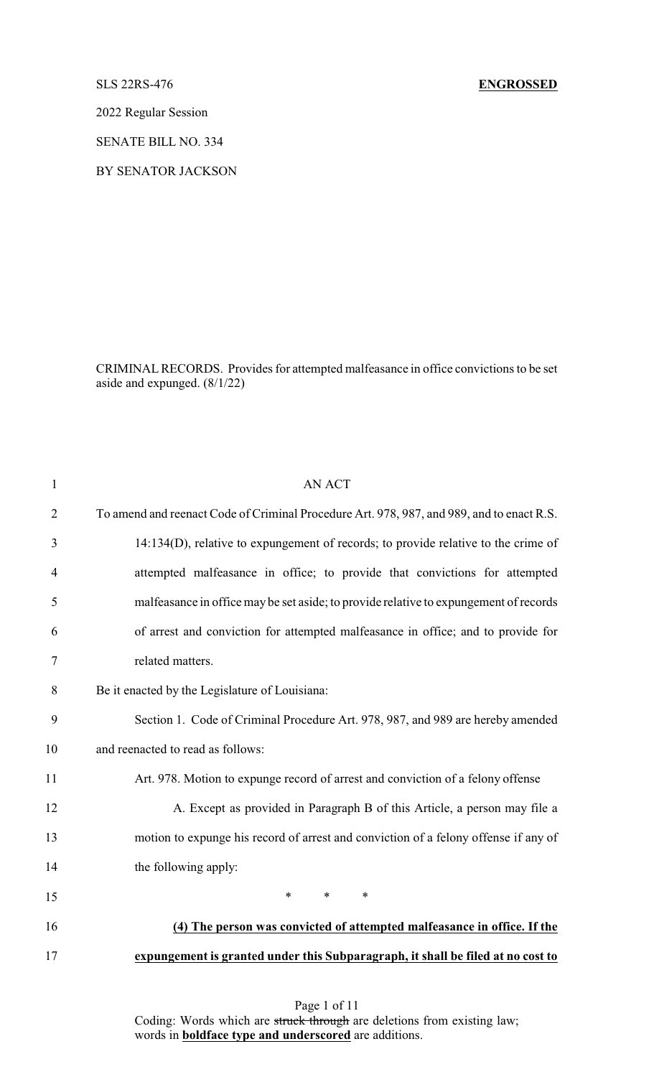## SLS 22RS-476 **ENGROSSED**

2022 Regular Session

SENATE BILL NO. 334

BY SENATOR JACKSON

CRIMINALRECORDS. Provides for attempted malfeasance in office convictions to be set aside and expunged. (8/1/22)

| $\mathbf{1}$   | <b>AN ACT</b>                                                                             |
|----------------|-------------------------------------------------------------------------------------------|
| $\overline{2}$ | To amend and reenact Code of Criminal Procedure Art. 978, 987, and 989, and to enact R.S. |
| 3              | 14:134(D), relative to expungement of records; to provide relative to the crime of        |
| 4              | attempted malfeasance in office; to provide that convictions for attempted                |
| 5              | malfeasance in office may be set aside; to provide relative to expungement of records     |
| 6              | of arrest and conviction for attempted malfeasance in office; and to provide for          |
| 7              | related matters.                                                                          |
| 8              | Be it enacted by the Legislature of Louisiana:                                            |
| 9              | Section 1. Code of Criminal Procedure Art. 978, 987, and 989 are hereby amended           |
| 10             | and reenacted to read as follows:                                                         |
| 11             | Art. 978. Motion to expunge record of arrest and conviction of a felony offense           |
| 12             | A. Except as provided in Paragraph B of this Article, a person may file a                 |
| 13             | motion to expunge his record of arrest and conviction of a felony offense if any of       |
| 14             | the following apply:                                                                      |
| 15             | $\ast$<br>$\ast$<br>$\ast$                                                                |
| 16             | (4) The person was convicted of attempted malfeasance in office. If the                   |
| 17             | expungement is granted under this Subparagraph, it shall be filed at no cost to           |
|                |                                                                                           |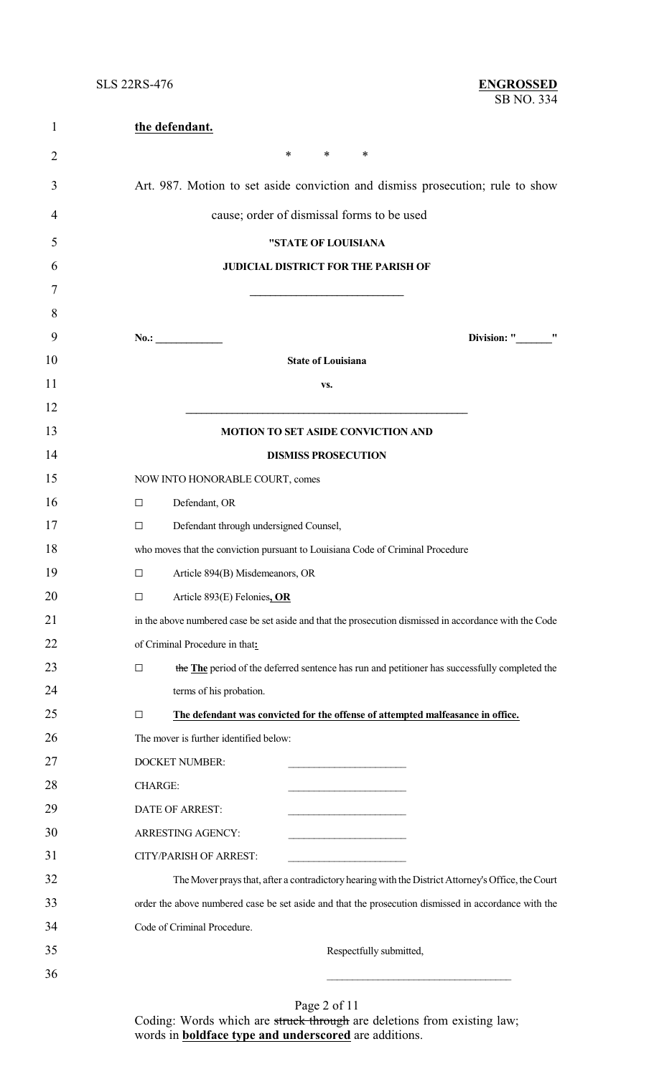| $\mathbf{1}$   | the defendant.                                                                                         |
|----------------|--------------------------------------------------------------------------------------------------------|
| $\overline{2}$ | $\ast$<br>$\ast$<br>∗                                                                                  |
| 3              | Art. 987. Motion to set aside conviction and dismiss prosecution; rule to show                         |
| 4              | cause; order of dismissal forms to be used                                                             |
| 5              | "STATE OF LOUISIANA                                                                                    |
| 6              | <b>JUDICIAL DISTRICT FOR THE PARISH OF</b>                                                             |
| 7              |                                                                                                        |
| 8              |                                                                                                        |
| 9              | Division: " "<br>No.:                                                                                  |
| 10             | <b>State of Louisiana</b>                                                                              |
| 11             | VS.                                                                                                    |
| 12             |                                                                                                        |
| 13             | MOTION TO SET ASIDE CONVICTION AND                                                                     |
| 14             | <b>DISMISS PROSECUTION</b>                                                                             |
| 15             | NOW INTO HONORABLE COURT, comes                                                                        |
| 16             | Defendant, OR<br>$\Box$                                                                                |
| 17             | Defendant through undersigned Counsel,<br>□                                                            |
| 18             | who moves that the conviction pursuant to Louisiana Code of Criminal Procedure                         |
| 19             | Article 894(B) Misdemeanors, OR<br>$\Box$                                                              |
| 20             | Article 893(E) Felonies, OR<br>□                                                                       |
| 21             | in the above numbered case be set aside and that the prosecution dismissed in accordance with the Code |
| 22             | of Criminal Procedure in that:                                                                         |
| 23             | the The period of the deferred sentence has run and petitioner has successfully completed the<br>□     |
| 24             | terms of his probation.                                                                                |
| 25             | The defendant was convicted for the offense of attempted malfeasance in office.<br>□                   |
| 26             | The mover is further identified below:                                                                 |
| 27             | <b>DOCKET NUMBER:</b>                                                                                  |
| 28             | <b>CHARGE:</b>                                                                                         |
| 29             | DATE OF ARREST:                                                                                        |
| 30             | ARRESTING AGENCY:                                                                                      |
| 31             | <b>CITY/PARISH OF ARREST:</b>                                                                          |
| 32             | The Mover prays that, after a contradictory hearing with the District Attorney's Office, the Court     |
| 33             | order the above numbered case be set aside and that the prosecution dismissed in accordance with the   |
| 34             | Code of Criminal Procedure.                                                                            |
| 35             | Respectfully submitted,                                                                                |
| 36             |                                                                                                        |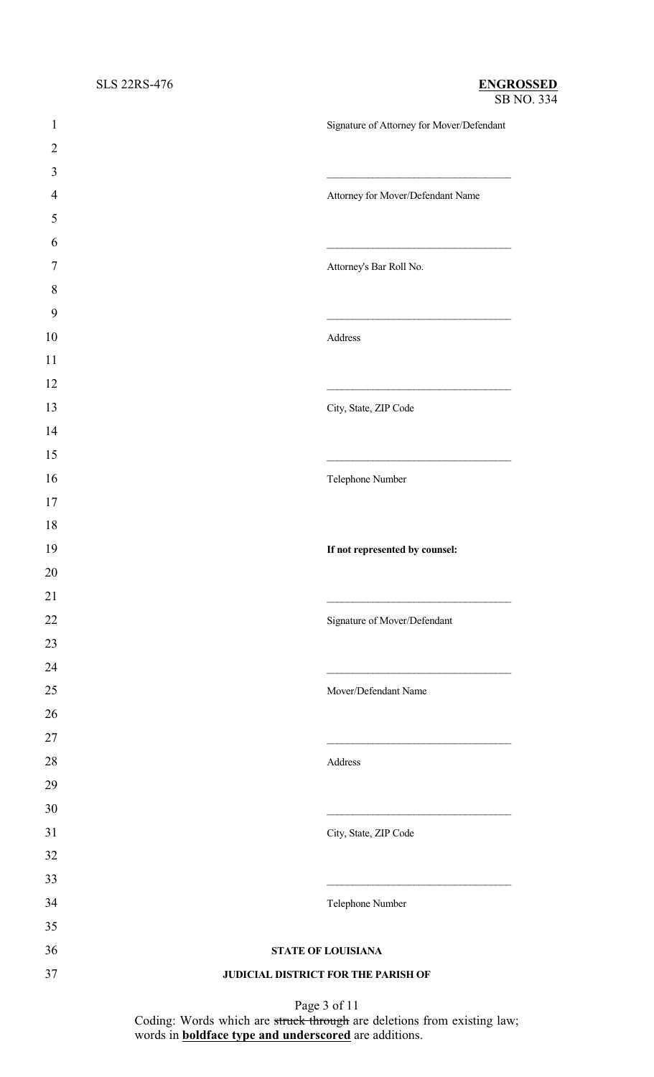| $\mathbf{1}$     | Signature of Attorney for Mover/Defendant |
|------------------|-------------------------------------------|
| $\overline{2}$   |                                           |
| 3                |                                           |
| $\overline{4}$   | Attorney for Mover/Defendant Name         |
| 5                |                                           |
| 6                |                                           |
| $\boldsymbol{7}$ | Attorney's Bar Roll No.                   |
| $8\,$            |                                           |
| 9                |                                           |
| 10               | Address                                   |
| 11               |                                           |
| 12               |                                           |
| 13               | City, State, ZIP Code                     |
| 14               |                                           |
| 15               |                                           |
| 16               | Telephone Number                          |
| 17               |                                           |
| 18               |                                           |
| 19               | If not represented by counsel:            |
| 20               |                                           |
| 21               |                                           |
| $22\,$           | Signature of Mover/Defendant              |
| 23               |                                           |
| 24               |                                           |
| 25               | Mover/Defendant Name                      |
| 26               |                                           |
| $27\,$           |                                           |
| $28\,$           | Address                                   |
| 29               |                                           |
| 30               |                                           |
| 31               | City, State, ZIP Code                     |
| 32               |                                           |
| 33               |                                           |
| 34               | Telephone Number                          |
| 35               |                                           |
| 36               | STATE OF LOUISIANA                        |
| 37               | JUDICIAL DISTRICT FOR THE PARISH OF       |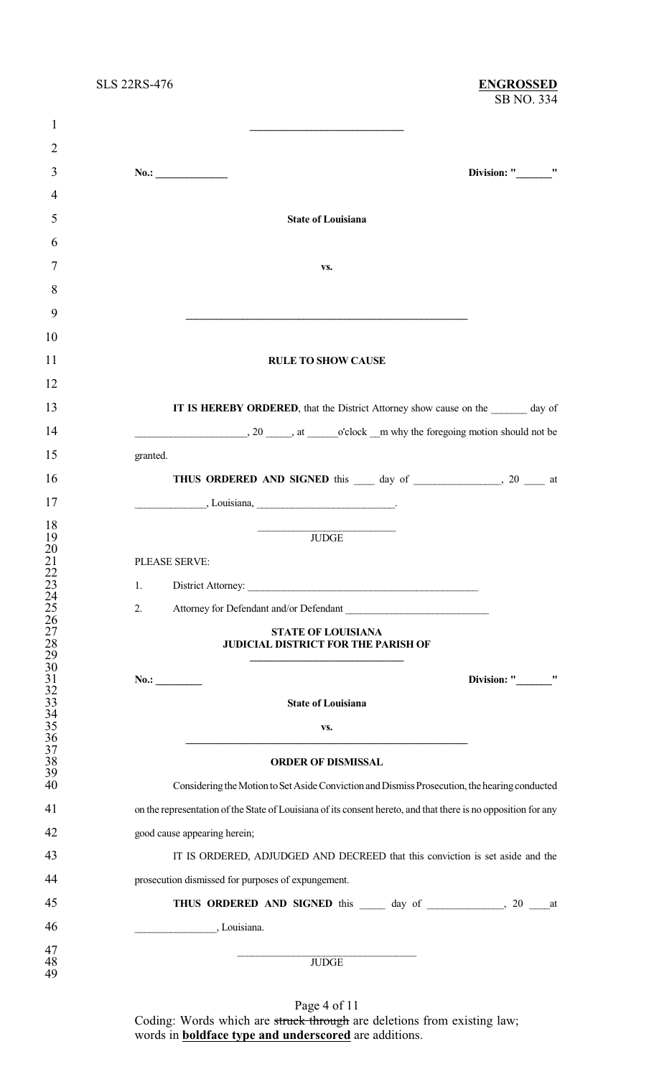### SB NO. 334 SLS 22RS-476 **ENGROSSED**

| $\mathbf{1}$                       |                                                                                                                |                   |
|------------------------------------|----------------------------------------------------------------------------------------------------------------|-------------------|
| $\overline{2}$                     |                                                                                                                |                   |
| 3                                  | No.:                                                                                                           | Division: " "     |
| $\overline{4}$                     |                                                                                                                |                   |
| 5                                  | <b>State of Louisiana</b>                                                                                      |                   |
| 6                                  |                                                                                                                |                   |
| 7                                  | VS.                                                                                                            |                   |
| 8                                  |                                                                                                                |                   |
| 9                                  |                                                                                                                |                   |
| 10                                 |                                                                                                                |                   |
| 11                                 | <b>RULE TO SHOW CAUSE</b>                                                                                      |                   |
| 12                                 |                                                                                                                |                   |
| 13                                 | IT IS HEREBY ORDERED, that the District Attorney show cause on the ______ day of                               |                   |
| 14                                 |                                                                                                                |                   |
| 15                                 | granted.                                                                                                       |                   |
| 16                                 | THUS ORDERED AND SIGNED this 1 day of 20 the at                                                                |                   |
| 17                                 | $\frac{1}{2}$ , Louisiana, $\frac{1}{2}$                                                                       |                   |
| 18                                 | JUDGE                                                                                                          |                   |
| 19<br>20                           |                                                                                                                |                   |
| 21                                 | PLEASE SERVE:                                                                                                  |                   |
| $\frac{22}{23}$                    | 1.                                                                                                             |                   |
| 24                                 |                                                                                                                |                   |
| 25<br>26                           | 2.<br>Attorney for Defendant and/or Defendant                                                                  |                   |
| 27                                 | <b>STATE OF LOUISIANA</b>                                                                                      |                   |
| $\frac{28}{29}$                    | JUDICIAL DISTRICT FOR THE PARISH OF                                                                            |                   |
|                                    |                                                                                                                |                   |
| 30                                 | No.:                                                                                                           | Division: "<br>,, |
| $\frac{31}{32}$                    |                                                                                                                |                   |
| 33                                 | <b>State of Louisiana</b>                                                                                      |                   |
| $\frac{34}{35}$<br>$\frac{35}{36}$ | VS.                                                                                                            |                   |
|                                    |                                                                                                                |                   |
| 37                                 |                                                                                                                |                   |
| 38                                 | <b>ORDER OF DISMISSAL</b>                                                                                      |                   |
| 39<br>40                           | Considering the Motion to Set Aside Conviction and Dismiss Prosecution, the hearing conducted                  |                   |
| 41                                 | on the representation of the State of Louisiana of its consent hereto, and that there is no opposition for any |                   |
| 42                                 | good cause appearing herein;                                                                                   |                   |
| 43                                 | IT IS ORDERED, ADJUDGED AND DECREED that this conviction is set aside and the                                  |                   |
| 44                                 | prosecution dismissed for purposes of expungement.                                                             |                   |
| 45                                 |                                                                                                                |                   |
| 46                                 | $\overline{\phantom{a}}$ , Louisiana.                                                                          |                   |
| 47                                 |                                                                                                                |                   |
| 48<br>49                           | <b>JUDGE</b>                                                                                                   |                   |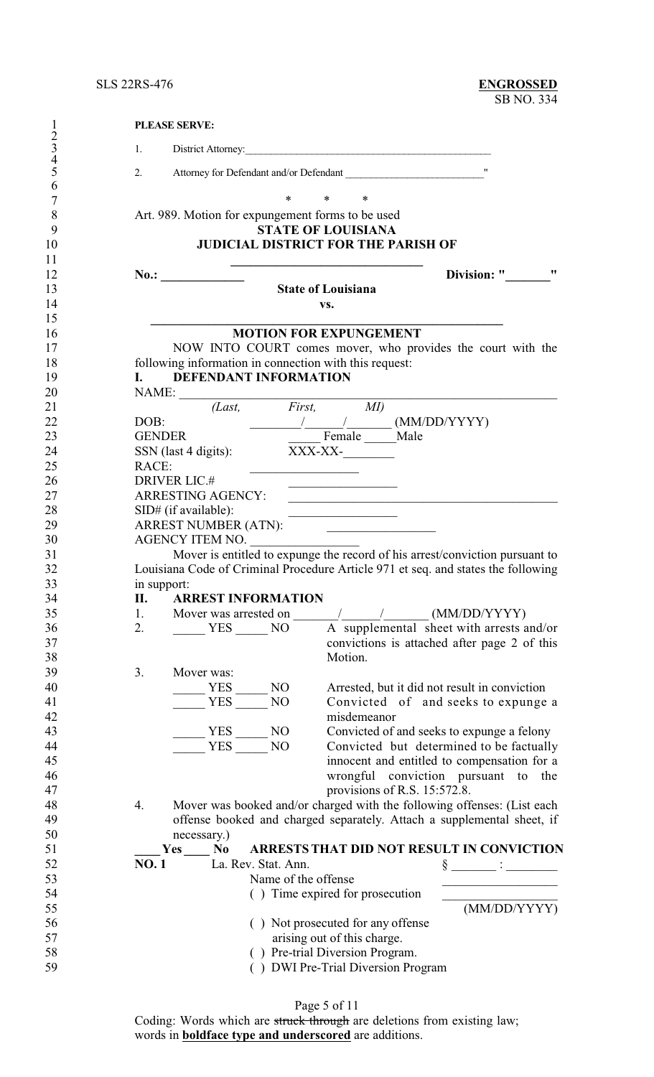| 1                   | <b>PLEASE SERVE:</b>                                   |                                                                                                                                                                                                                                                                                                                                                                                                                                 |
|---------------------|--------------------------------------------------------|---------------------------------------------------------------------------------------------------------------------------------------------------------------------------------------------------------------------------------------------------------------------------------------------------------------------------------------------------------------------------------------------------------------------------------|
| $rac{2}{3}$         | 1.                                                     | District Attorney:                                                                                                                                                                                                                                                                                                                                                                                                              |
| $\overline{4}$<br>5 | 2.                                                     | Attorney for Defendant and/or Defendant                                                                                                                                                                                                                                                                                                                                                                                         |
| 6                   | $\ast$                                                 | $\ast$<br>∗                                                                                                                                                                                                                                                                                                                                                                                                                     |
| 7<br>8              | Art. 989. Motion for expungement forms to be used      |                                                                                                                                                                                                                                                                                                                                                                                                                                 |
| 9                   |                                                        | <b>STATE OF LOUISIANA</b>                                                                                                                                                                                                                                                                                                                                                                                                       |
| 10                  |                                                        | <b>JUDICIAL DISTRICT FOR THE PARISH OF</b>                                                                                                                                                                                                                                                                                                                                                                                      |
| 11<br>12            | $\frac{1}{2}$ No.:                                     | <u> 1989 - Johann John Stone, martin de Brasil</u><br>11<br>Division: "                                                                                                                                                                                                                                                                                                                                                         |
| 13                  |                                                        | <b>State of Louisiana</b>                                                                                                                                                                                                                                                                                                                                                                                                       |
| 14                  |                                                        | VS.                                                                                                                                                                                                                                                                                                                                                                                                                             |
| 15                  |                                                        |                                                                                                                                                                                                                                                                                                                                                                                                                                 |
| 16                  |                                                        | <b>MOTION FOR EXPUNGEMENT</b>                                                                                                                                                                                                                                                                                                                                                                                                   |
| 17<br>18            | following information in connection with this request: | NOW INTO COURT comes mover, who provides the court with the                                                                                                                                                                                                                                                                                                                                                                     |
| 19                  | DEFENDANT INFORMATION<br><b>I.</b>                     |                                                                                                                                                                                                                                                                                                                                                                                                                                 |
| 20                  | NAME:                                                  |                                                                                                                                                                                                                                                                                                                                                                                                                                 |
| 21                  | (Last, First, MI)                                      |                                                                                                                                                                                                                                                                                                                                                                                                                                 |
| 22                  | DOB:                                                   | $\frac{1}{\sqrt{1-\frac{1}{2}}}\frac{1}{\sqrt{1-\frac{1}{2}}}\frac{1}{\sqrt{1-\frac{1}{2}}}\frac{1}{\sqrt{1-\frac{1}{2}}}\frac{1}{\sqrt{1-\frac{1}{2}}}\frac{1}{\sqrt{1-\frac{1}{2}}}\frac{1}{\sqrt{1-\frac{1}{2}}}\frac{1}{\sqrt{1-\frac{1}{2}}}\frac{1}{\sqrt{1-\frac{1}{2}}}\frac{1}{\sqrt{1-\frac{1}{2}}}\frac{1}{\sqrt{1-\frac{1}{2}}}\frac{1}{\sqrt{1-\frac{1}{2}}}\frac{1}{\sqrt{1-\frac{1}{2}}}\frac{1}{\sqrt{1-\frac{$ |
| 23                  | <b>GENDER</b>                                          | Female _____ Male                                                                                                                                                                                                                                                                                                                                                                                                               |
| 24                  | SSN (last 4 digits): XXX-XX-                           |                                                                                                                                                                                                                                                                                                                                                                                                                                 |
| 25                  | RACE:                                                  |                                                                                                                                                                                                                                                                                                                                                                                                                                 |
| 26<br>27            | <b>DRIVER LIC.#</b><br>ARRESTING AGENCY:               | <u> 1989 - Johann Barbara, martin a</u>                                                                                                                                                                                                                                                                                                                                                                                         |
| 28                  | SID# (if available):                                   | <u> 1989 - Johann Barbara, martxa alemaniar a</u>                                                                                                                                                                                                                                                                                                                                                                               |
| 29                  | ARREST NUMBER (ATN):                                   |                                                                                                                                                                                                                                                                                                                                                                                                                                 |
| 30                  | AGENCY ITEM NO.                                        |                                                                                                                                                                                                                                                                                                                                                                                                                                 |
| 31                  |                                                        | Mover is entitled to expunge the record of his arrest/conviction pursuant to                                                                                                                                                                                                                                                                                                                                                    |
| 32                  |                                                        | Louisiana Code of Criminal Procedure Article 971 et seq. and states the following                                                                                                                                                                                                                                                                                                                                               |
| 33                  | in support:                                            |                                                                                                                                                                                                                                                                                                                                                                                                                                 |
| 34                  | <b>ARREST INFORMATION</b><br>П.                        |                                                                                                                                                                                                                                                                                                                                                                                                                                 |
| 35<br>36            | 1.<br>2.                                               | A supplemental sheet with arrests and/or                                                                                                                                                                                                                                                                                                                                                                                        |
| 37                  | YES NO                                                 | convictions is attached after page 2 of this                                                                                                                                                                                                                                                                                                                                                                                    |
| 38                  |                                                        | Motion.                                                                                                                                                                                                                                                                                                                                                                                                                         |
| 39                  | 3.<br>Mover was:                                       |                                                                                                                                                                                                                                                                                                                                                                                                                                 |
| 40                  | $\equiv$ YES<br>N <sub>O</sub>                         | Arrested, but it did not result in conviction                                                                                                                                                                                                                                                                                                                                                                                   |
| 41                  | <b>YES</b><br>NO                                       | Convicted of and seeks to expunge a                                                                                                                                                                                                                                                                                                                                                                                             |
| 42                  |                                                        | misdemeanor                                                                                                                                                                                                                                                                                                                                                                                                                     |
| 43                  | $\frac{YES}{YFS}$ NO                                   | Convicted of and seeks to expunge a felony                                                                                                                                                                                                                                                                                                                                                                                      |
| 44<br>45            |                                                        | Convicted but determined to be factually                                                                                                                                                                                                                                                                                                                                                                                        |
| 46                  |                                                        | innocent and entitled to compensation for a<br>wrongful conviction pursuant to the                                                                                                                                                                                                                                                                                                                                              |
| 47                  |                                                        | provisions of R.S. 15:572.8.                                                                                                                                                                                                                                                                                                                                                                                                    |
| 48                  | 4.                                                     | Mover was booked and/or charged with the following offenses: (List each                                                                                                                                                                                                                                                                                                                                                         |
| 49                  |                                                        | offense booked and charged separately. Attach a supplemental sheet, if                                                                                                                                                                                                                                                                                                                                                          |
| 50                  | necessary.)                                            |                                                                                                                                                                                                                                                                                                                                                                                                                                 |
| 51                  | Yes No                                                 | ARRESTS THAT DID NOT RESULT IN CONVICTION                                                                                                                                                                                                                                                                                                                                                                                       |
| 52                  | La. Rev. Stat. Ann.<br><b>NO.1</b>                     |                                                                                                                                                                                                                                                                                                                                                                                                                                 |
| 53                  | Name of the offense                                    |                                                                                                                                                                                                                                                                                                                                                                                                                                 |
| 54<br>55            |                                                        | () Time expired for prosecution<br>(MM/DD/YYYY)                                                                                                                                                                                                                                                                                                                                                                                 |
| 56                  |                                                        | () Not prosecuted for any offense                                                                                                                                                                                                                                                                                                                                                                                               |
| 57                  |                                                        | arising out of this charge.                                                                                                                                                                                                                                                                                                                                                                                                     |
| 58                  |                                                        | () Pre-trial Diversion Program.                                                                                                                                                                                                                                                                                                                                                                                                 |
| 59                  |                                                        | () DWI Pre-Trial Diversion Program                                                                                                                                                                                                                                                                                                                                                                                              |

Page 5 of 11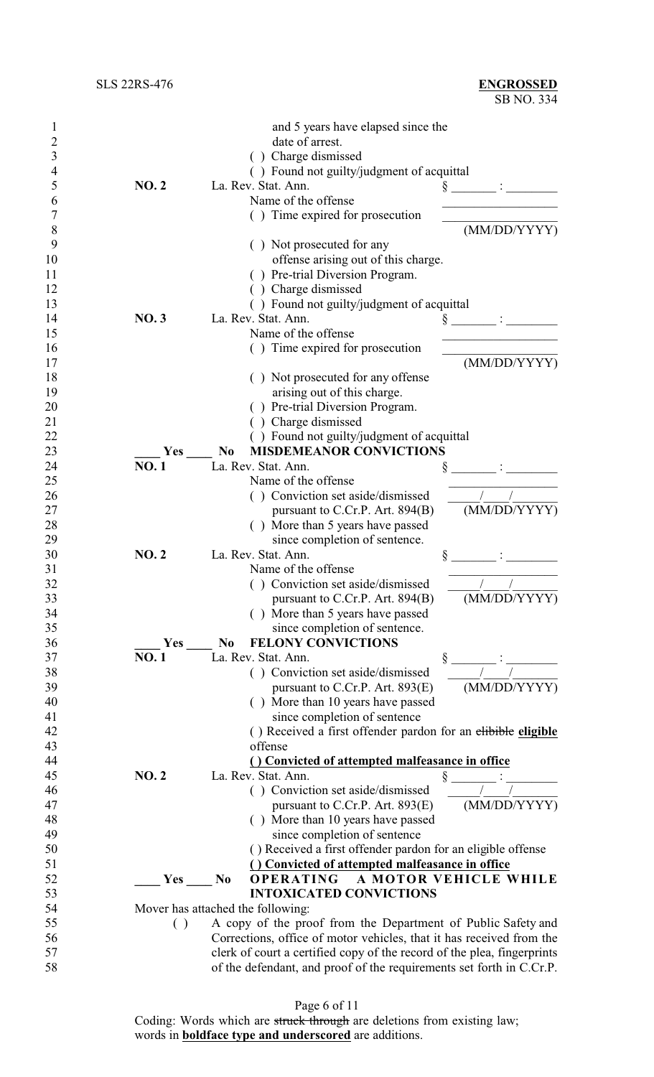|          |              | and 5 years have elapsed since the                                                        |
|----------|--------------|-------------------------------------------------------------------------------------------|
| 2        |              | date of arrest.                                                                           |
| 3        |              | Charge dismissed                                                                          |
| 4        |              | () Found not guilty/judgment of acquittal                                                 |
| 5        | <b>NO.2</b>  | La. Rev. Stat. Ann.                                                                       |
| 6        |              | Name of the offense                                                                       |
| 7        |              | Time expired for prosecution                                                              |
| 8        |              | (MM/DD/YYYY)                                                                              |
| 9        |              | () Not prosecuted for any                                                                 |
| 10       |              | offense arising out of this charge.                                                       |
| 11       |              | () Pre-trial Diversion Program.                                                           |
| 12       |              | () Charge dismissed                                                                       |
| 13       |              | () Found not guilty/judgment of acquittal                                                 |
| 14       | <b>NO.3</b>  | La. Rev. Stat. Ann.<br>Š                                                                  |
| 15       |              | Name of the offense                                                                       |
| 16       |              | () Time expired for prosecution                                                           |
| 17       |              | (MM/DD/YYYY)                                                                              |
| 18       |              | () Not prosecuted for any offense                                                         |
| 19       |              | arising out of this charge.                                                               |
| 20       |              | () Pre-trial Diversion Program.                                                           |
| 21       |              | () Charge dismissed                                                                       |
| 22       |              | () Found not guilty/judgment of acquittal                                                 |
| 23       | Yes          | <b>MISDEMEANOR CONVICTIONS</b><br>N <sub>0</sub>                                          |
| 24       | <b>NO.1</b>  | La. Rev. Stat. Ann.                                                                       |
| 25       |              | Name of the offense                                                                       |
| 26       |              | () Conviction set aside/dismissed                                                         |
| 27       |              | (MM/DD/YYYY)<br>pursuant to C.Cr.P. Art. 894(B)                                           |
| 28       |              | () More than 5 years have passed                                                          |
| 29       |              | since completion of sentence.                                                             |
| 30       | <b>NO. 2</b> | La. Rev. Stat. Ann.<br>§                                                                  |
| 31       |              | Name of the offense                                                                       |
| 32       |              | () Conviction set aside/dismissed                                                         |
| 33       |              | (MM/DD/YYYY)<br>pursuant to C.Cr.P. Art. $894(B)$                                         |
| 34       |              | More than 5 years have passed                                                             |
| 35       |              | since completion of sentence.                                                             |
| 36       | Yes          | <b>FELONY CONVICTIONS</b><br>N <sub>0</sub>                                               |
| 37       | <b>NO.1</b>  | La. Rev. Stat. Ann.<br>ş                                                                  |
| 38       |              | () Conviction set aside/dismissed                                                         |
| 39       |              | (MM/DD/YYYY)<br>pursuant to C.Cr.P. Art. $893(E)$                                         |
| 40       |              | () More than 10 years have passed                                                         |
| 41       |              | since completion of sentence                                                              |
| 42       |              | () Received a first offender pardon for an elibible eligible                              |
| 43       |              | offense                                                                                   |
| 44       |              | () Convicted of attempted malfeasance in office                                           |
| 45       | <b>NO.2</b>  | La. Rev. Stat. Ann.                                                                       |
| 46       |              | ş<br>() Conviction set aside/dismissed                                                    |
| 47       |              | (MM/DD/YYYY)<br>pursuant to C.Cr.P. Art. $893(E)$                                         |
| 48       |              | () More than 10 years have passed                                                         |
| 49       |              | since completion of sentence                                                              |
|          |              |                                                                                           |
| 50<br>51 |              | () Received a first offender pardon for an eligible offense                               |
| 52       |              | () Convicted of attempted malfeasance in office<br><b>OPERATING A MOTOR VEHICLE WHILE</b> |
| 53       | <b>Yes</b>   | N <sub>0</sub><br><b>INTOXICATED CONVICTIONS</b>                                          |
|          |              |                                                                                           |
| 54       |              | Mover has attached the following:                                                         |
| 55       | ( )          | A copy of the proof from the Department of Public Safety and                              |
| 56       |              | Corrections, office of motor vehicles, that it has received from the                      |
| 57       |              | clerk of court a certified copy of the record of the plea, fingerprints                   |
| 58       |              | of the defendant, and proof of the requirements set forth in C.Cr.P.                      |

Page 6 of 11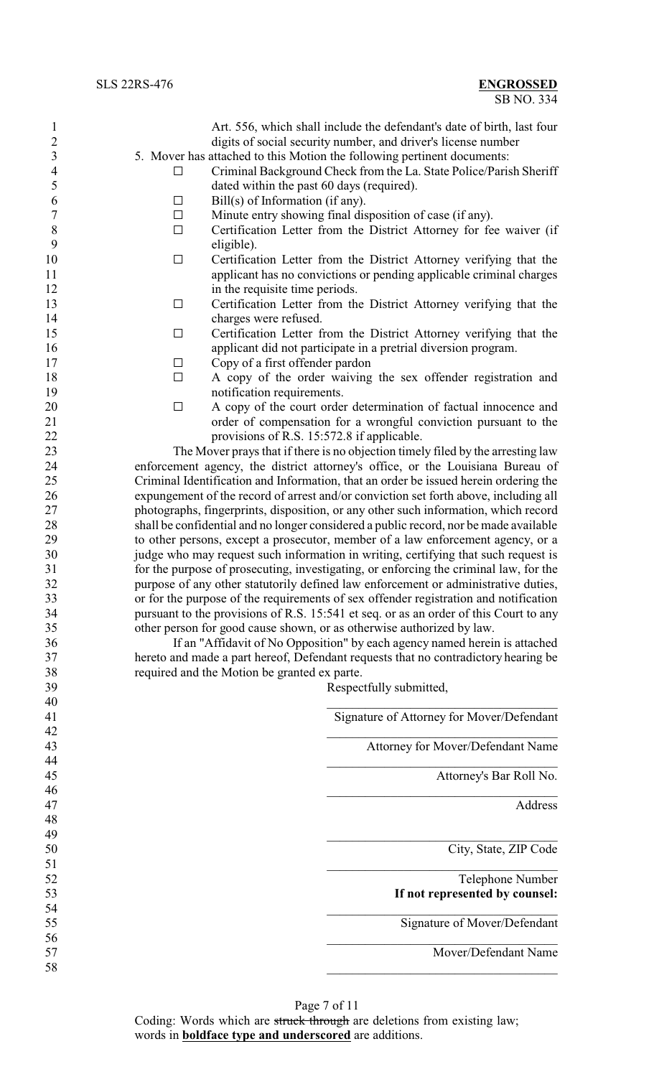Art. 556, which shall include the defendant's date of birth, last four digits of social security number, and driver's license number 5. Mover has attached to this Motion the following pertinent documents:

- $\Box$  Criminal Background Check from the La. State Police/Parish Sheriff dated within the past 60 days (required).
- 6 Bill(s) of Information (if any).
- $7 \Box$  Minute entry showing final disposition of case (if any).
- 8  $\Box$  Certification Letter from the District Attorney for fee waiver (if eligible). eligible).
- 10 Gertification Letter from the District Attorney verifying that the applicant has no convictions or pending applicable criminal charges 12 in the requisite time periods.
- 13 Certification Letter from the District Attorney verifying that the charges were refused.
- 15 G Certification Letter from the District Attorney verifying that the applicant did not participate in a pretrial diversion program.
- 17 Copy of a first offender pardon
- $\Box$  A copy of the order waiving the sex offender registration and 19 notification requirements.
- $\Box$  A copy of the court order determination of factual innocence and order of compensation for a wrongful conviction pursuant to the provisions of R.S. 15:572.8 if applicable.

 The Mover prays that if there is no objection timely filed by the arresting law enforcement agency, the district attorney's office, or the Louisiana Bureau of Criminal Identification and Information, that an order be issued herein ordering the expungement of the record of arrest and/or conviction set forth above, including all photographs, fingerprints, disposition, or any other such information, which record shall be confidential and no longer considered a public record, nor be made available to other persons, except a prosecutor, member of a law enforcement agency, or a judge who may request such information in writing, certifying that such request is for the purpose of prosecuting, investigating, or enforcing the criminal law, for the purpose of any other statutorily defined law enforcement or administrative duties, or for the purpose of the requirements of sex offender registration and notification pursuant to the provisions of R.S. 15:541 et seq. or as an order of this Court to any other person for good cause shown, or as otherwise authorized by law.

 If an "Affidavit of No Opposition" by each agency named herein is attached hereto and made a part hereof, Defendant requests that no contradictory hearing be required and the Motion be granted ex parte.

Respectfully submitted,

|                                           | 40 |
|-------------------------------------------|----|
| Signature of Attorney for Mover/Defendant | 41 |
|                                           | 42 |
| Attorney for Mover/Defendant Name         | 43 |
|                                           | 44 |
| Attorney's Bar Roll No.                   | 45 |
|                                           | 46 |
| Address                                   | 47 |
|                                           | 48 |
|                                           | 49 |
| City, State, ZIP Code                     | 50 |
|                                           | 51 |
| Telephone Number                          | 52 |
| If not represented by counsel:            | 53 |
|                                           | 54 |
| Signature of Mover/Defendant              | 55 |
|                                           | 56 |
| Mover/Defendant Name                      | 57 |
|                                           | 58 |
|                                           |    |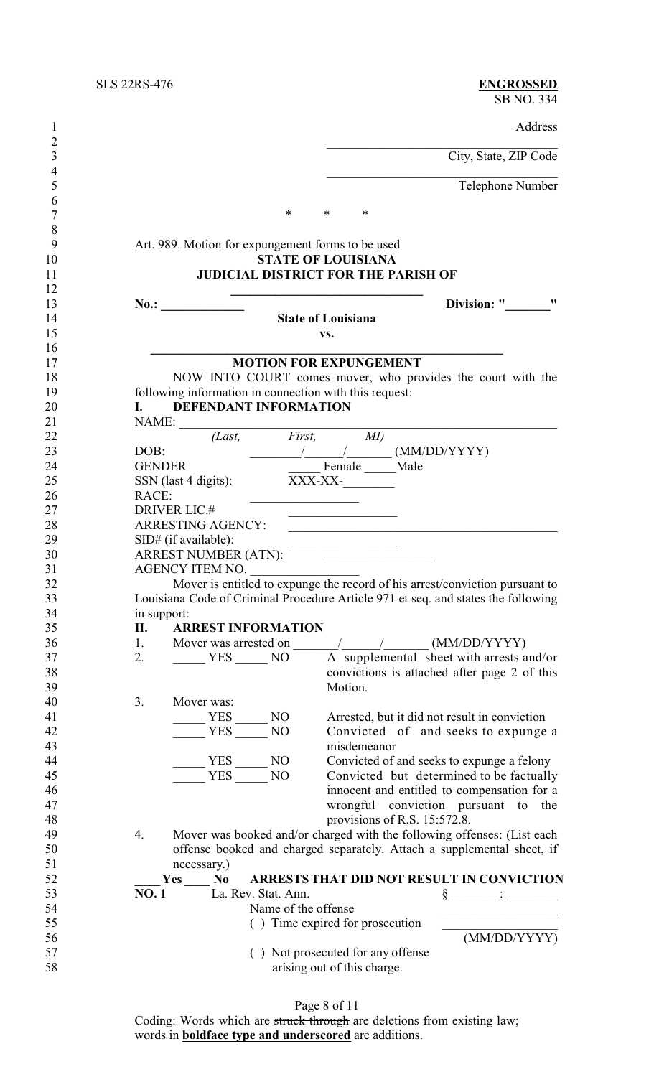$\frac{6}{7}$ 

Address

City, State, ZIP Code

Telephone Number

7 \* \* \* \*

# 9 Art. 989. Motion for expungement forms to be used<br>10 **STATE OF LOUISIANA** 10 **STATE OF LOUISIANA**<br>11 **JUDICIAL DISTRICT FOR THE P JUDICIAL DISTRICT FOR THE PARISH OF**

**\_\_\_\_\_\_\_\_\_\_\_\_\_\_\_\_\_\_\_\_\_\_\_\_\_\_\_\_\_\_\_\_\_\_\_\_\_\_\_\_\_\_\_\_\_\_\_\_\_\_\_\_\_\_\_**

**No.: No.: No.: Division: "** 

## **State of Louisiana**

**vs.**

## **MOTION FOR EXPUNGEMENT**

18 NOW INTO COURT comes mover, who provides the court with the following information in connection with this request: 19 following information in connection with this request:<br>20 **I.** DEFENDANT INFORMATION

| 20 |       | <b>DEFENDANT INFORMATION</b> |  |
|----|-------|------------------------------|--|
| 21 | NAME: |                              |  |

| 21 | NAME:         |                             |                     |                                                  |                              |                                                                                   |
|----|---------------|-----------------------------|---------------------|--------------------------------------------------|------------------------------|-----------------------------------------------------------------------------------|
| 22 |               | (Last,                      | First,              | MI)                                              |                              |                                                                                   |
| 23 | DOB:          |                             |                     |                                                  |                              | (MM/DD/YYYY)                                                                      |
| 24 | <b>GENDER</b> |                             |                     | Female Male                                      |                              |                                                                                   |
| 25 |               | SSN (last 4 digits):        | XXX-XX-             |                                                  |                              |                                                                                   |
| 26 | RACE:         |                             |                     |                                                  |                              |                                                                                   |
| 27 |               | <b>DRIVER LIC.#</b>         |                     |                                                  |                              |                                                                                   |
| 28 |               | <b>ARRESTING AGENCY:</b>    |                     |                                                  |                              |                                                                                   |
| 29 |               | SID# (if available):        |                     |                                                  |                              |                                                                                   |
| 30 |               | <b>ARREST NUMBER (ATN):</b> |                     | the control of the control of the control of the |                              |                                                                                   |
| 31 |               | AGENCY ITEM NO.             |                     |                                                  |                              |                                                                                   |
| 32 |               |                             |                     |                                                  |                              | Mover is entitled to expunge the record of his arrest/conviction pursuant to      |
| 33 |               |                             |                     |                                                  |                              | Louisiana Code of Criminal Procedure Article 971 et seq. and states the following |
| 34 | in support:   |                             |                     |                                                  |                              |                                                                                   |
| 35 | П.            | <b>ARREST INFORMATION</b>   |                     |                                                  |                              |                                                                                   |
| 36 | 1.            | Mover was arrested on       |                     |                                                  |                              | (MM/DD/YYYY)                                                                      |
| 37 | 2.            | YES NO                      |                     |                                                  |                              | A supplemental sheet with arrests and/or                                          |
| 38 |               |                             |                     |                                                  |                              | convictions is attached after page 2 of this                                      |
| 39 |               |                             |                     | Motion.                                          |                              |                                                                                   |
| 40 | 3.            | Mover was:                  |                     |                                                  |                              |                                                                                   |
| 41 |               | <b>YES</b>                  | N <sub>O</sub>      |                                                  |                              | Arrested, but it did not result in conviction                                     |
| 42 |               | <b>YES</b>                  | NO                  |                                                  |                              | Convicted of and seeks to expunge a                                               |
| 43 |               |                             |                     | misdemeanor                                      |                              |                                                                                   |
| 44 |               | <b>YES</b>                  | N <sub>O</sub>      |                                                  |                              | Convicted of and seeks to expunge a felony                                        |
| 45 |               | <b>YES</b>                  | NO                  |                                                  |                              | Convicted but determined to be factually                                          |
| 46 |               |                             |                     |                                                  |                              | innocent and entitled to compensation for a                                       |
| 47 |               |                             |                     |                                                  |                              | wrongful conviction pursuant to the                                               |
| 48 |               |                             |                     |                                                  | provisions of R.S. 15:572.8. |                                                                                   |
| 49 | 4.            |                             |                     |                                                  |                              | Mover was booked and/or charged with the following offenses: (List each           |
| 50 |               |                             |                     |                                                  |                              | offense booked and charged separately. Attach a supplemental sheet, if            |
| 51 |               | necessary.)                 |                     |                                                  |                              |                                                                                   |
| 52 |               | Yes<br>No                   |                     |                                                  |                              | ARRESTS THAT DID NOT RESULT IN CONVICTION                                         |
| 53 | NO. 1         | La. Rev. Stat. Ann.         |                     |                                                  |                              |                                                                                   |
| 54 |               |                             | Name of the offense |                                                  |                              |                                                                                   |
| 55 |               |                             |                     | () Time expired for prosecution                  |                              |                                                                                   |
| 56 |               |                             |                     |                                                  |                              | (MM/DD/YYYY)                                                                      |
| 57 |               |                             |                     | () Not prosecuted for any offense                |                              |                                                                                   |
| 58 |               |                             |                     | arising out of this charge.                      |                              |                                                                                   |
|    |               |                             |                     |                                                  |                              |                                                                                   |

Page 8 of 11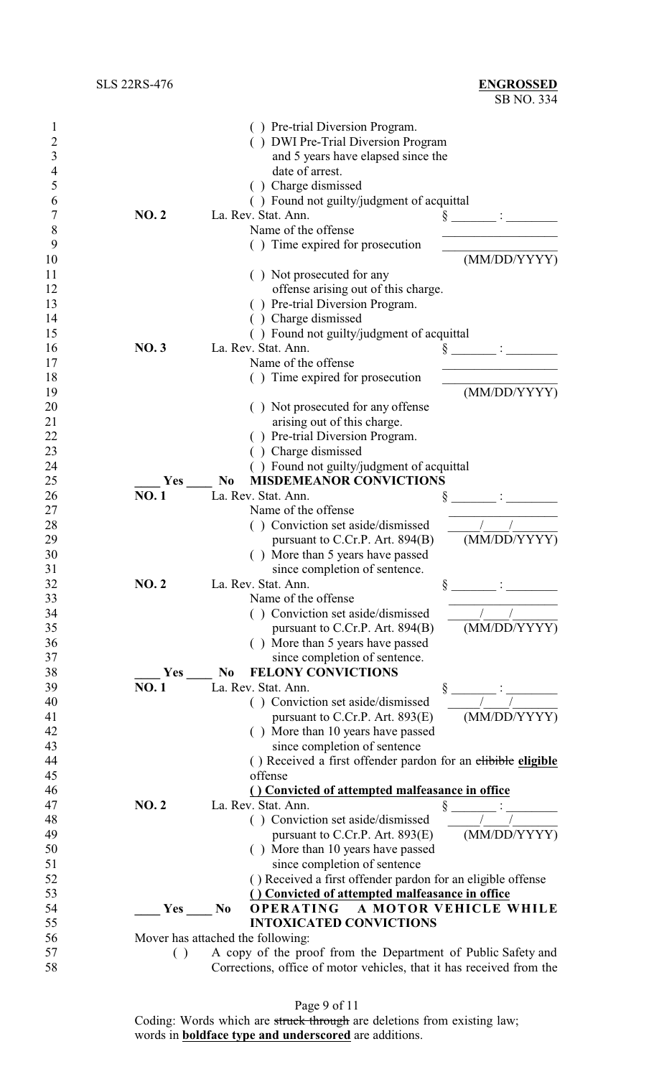| 1              |             | () Pre-trial Diversion Program.                                      |
|----------------|-------------|----------------------------------------------------------------------|
| 2              |             | () DWI Pre-Trial Diversion Program                                   |
| 3              |             | and 5 years have elapsed since the                                   |
| $\overline{4}$ |             | date of arrest.                                                      |
| 5              |             | () Charge dismissed                                                  |
| 6              |             | () Found not guilty/judgment of acquittal                            |
| 7              | <b>NO.2</b> | La. Rev. Stat. Ann.                                                  |
| 8              |             | Name of the offense                                                  |
| 9              |             | () Time expired for prosecution                                      |
| 10             |             | (MM/DD/YYYY)                                                         |
| 11             |             | () Not prosecuted for any                                            |
| 12             |             | offense arising out of this charge.                                  |
| 13             |             |                                                                      |
|                |             | () Pre-trial Diversion Program.                                      |
| 14             |             | Charge dismissed                                                     |
| 15             |             | () Found not guilty/judgment of acquittal                            |
| 16             | <b>NO.3</b> | La. Rev. Stat. Ann.                                                  |
| 17             |             | Name of the offense                                                  |
| 18             |             | () Time expired for prosecution                                      |
| 19             |             | (MM/DD/YYYY)                                                         |
| 20             |             | () Not prosecuted for any offense                                    |
| 21             |             | arising out of this charge.                                          |
| 22             |             | () Pre-trial Diversion Program.                                      |
| 23             |             | () Charge dismissed                                                  |
| 24             |             | () Found not guilty/judgment of acquittal                            |
| 25             | Yes         | <b>MISDEMEANOR CONVICTIONS</b><br>N <sub>0</sub>                     |
| 26             | <b>NO.1</b> | La. Rev. Stat. Ann.                                                  |
| 27             |             | Name of the offense                                                  |
| 28             |             | () Conviction set aside/dismissed                                    |
| 29             |             | (MM/DD/YYYY)<br>pursuant to C.Cr.P. Art. 894(B)                      |
| 30             |             | () More than 5 years have passed                                     |
| 31             |             | since completion of sentence.                                        |
| 32             | NO.2        | La. Rev. Stat. Ann.<br>§                                             |
| 33             |             | Name of the offense                                                  |
| 34             |             | () Conviction set aside/dismissed                                    |
| 35             |             | (MM/DD/YYYY)<br>pursuant to C.Cr.P. Art. 894(B)                      |
| 36             |             | () More than 5 years have passed                                     |
| 37             |             | since completion of sentence.                                        |
| 38             | Yes         | <b>FELONY CONVICTIONS</b><br>N <sub>0</sub>                          |
| 39             | <b>NO.1</b> | La. Rev. Stat. Ann.                                                  |
| 40             |             | () Conviction set aside/dismissed                                    |
| 41             |             | (MM/DD/YYYY)<br>pursuant to C.Cr.P. Art. $893(E)$                    |
| 42             |             | () More than 10 years have passed                                    |
| 43             |             | since completion of sentence                                         |
|                |             |                                                                      |
| 44             |             | () Received a first offender pardon for an elibible eligible         |
| 45             |             | offense                                                              |
| 46             |             | () Convicted of attempted malfeasance in office                      |
| 47             | <b>NO.2</b> | La. Rev. Stat. Ann.                                                  |
| 48             |             | () Conviction set aside/dismissed                                    |
| 49             |             | (MM/DD/YYYY)<br>pursuant to C.Cr.P. Art. $893(E)$                    |
| 50             |             | () More than 10 years have passed                                    |
| 51             |             | since completion of sentence                                         |
| 52             |             | () Received a first offender pardon for an eligible offense          |
| 53             |             | () Convicted of attempted malfeasance in office                      |
| 54             | <b>Yes</b>  | <b>OPERATING</b><br>A MOTOR VEHICLE WHILE<br>N <sub>0</sub>          |
| 55             |             | <b>INTOXICATED CONVICTIONS</b>                                       |
| 56             |             | Mover has attached the following:                                    |
| 57             | ( )         | A copy of the proof from the Department of Public Safety and         |
| 58             |             | Corrections, office of motor vehicles, that it has received from the |

Page 9 of 11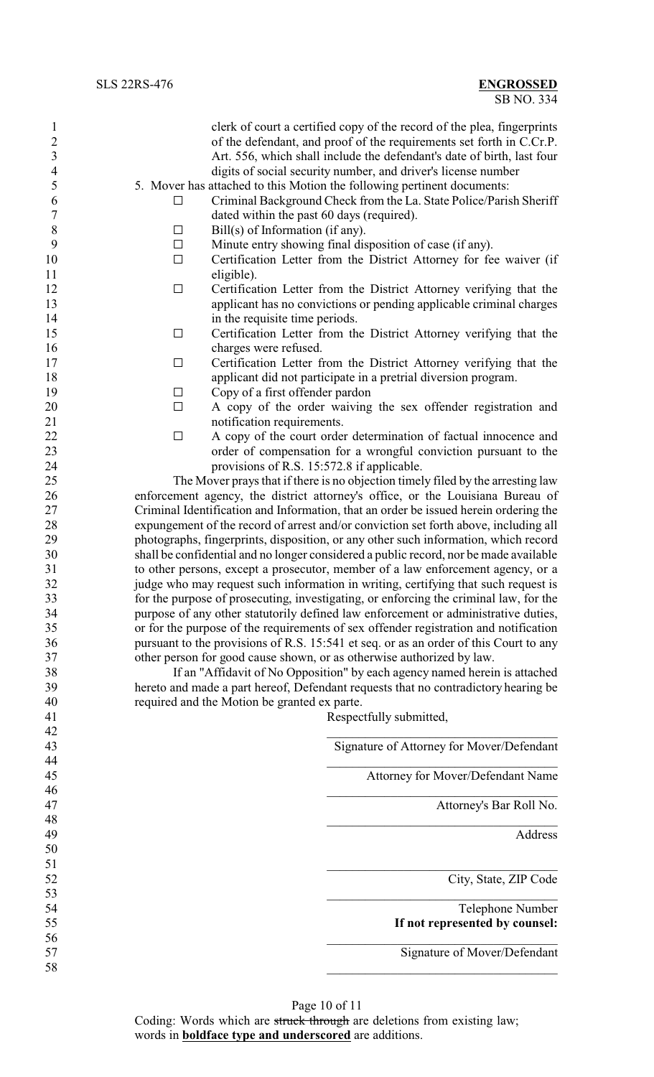| clerk of court a certified copy of the record of the plea, fingerprints<br>of the defendant, and proof of the requirements set forth in C.Cr.P.<br>Art. 556, which shall include the defendant's date of birth, last four<br>digits of social security number, and driver's license number<br>5. Mover has attached to this Motion the following pertinent documents:<br>Criminal Background Check from the La. State Police/Parish Sheriff<br>dated within the past 60 days (required).<br>Minute entry showing final disposition of case (if any). |
|------------------------------------------------------------------------------------------------------------------------------------------------------------------------------------------------------------------------------------------------------------------------------------------------------------------------------------------------------------------------------------------------------------------------------------------------------------------------------------------------------------------------------------------------------|
|                                                                                                                                                                                                                                                                                                                                                                                                                                                                                                                                                      |
|                                                                                                                                                                                                                                                                                                                                                                                                                                                                                                                                                      |
|                                                                                                                                                                                                                                                                                                                                                                                                                                                                                                                                                      |
|                                                                                                                                                                                                                                                                                                                                                                                                                                                                                                                                                      |
|                                                                                                                                                                                                                                                                                                                                                                                                                                                                                                                                                      |
|                                                                                                                                                                                                                                                                                                                                                                                                                                                                                                                                                      |
|                                                                                                                                                                                                                                                                                                                                                                                                                                                                                                                                                      |
|                                                                                                                                                                                                                                                                                                                                                                                                                                                                                                                                                      |
| Certification Letter from the District Attorney for fee waiver (if                                                                                                                                                                                                                                                                                                                                                                                                                                                                                   |
|                                                                                                                                                                                                                                                                                                                                                                                                                                                                                                                                                      |
| Certification Letter from the District Attorney verifying that the                                                                                                                                                                                                                                                                                                                                                                                                                                                                                   |
| applicant has no convictions or pending applicable criminal charges                                                                                                                                                                                                                                                                                                                                                                                                                                                                                  |
|                                                                                                                                                                                                                                                                                                                                                                                                                                                                                                                                                      |
| Certification Letter from the District Attorney verifying that the                                                                                                                                                                                                                                                                                                                                                                                                                                                                                   |
|                                                                                                                                                                                                                                                                                                                                                                                                                                                                                                                                                      |
| Certification Letter from the District Attorney verifying that the                                                                                                                                                                                                                                                                                                                                                                                                                                                                                   |
| applicant did not participate in a pretrial diversion program.                                                                                                                                                                                                                                                                                                                                                                                                                                                                                       |
|                                                                                                                                                                                                                                                                                                                                                                                                                                                                                                                                                      |
| A copy of the order waiving the sex offender registration and                                                                                                                                                                                                                                                                                                                                                                                                                                                                                        |
|                                                                                                                                                                                                                                                                                                                                                                                                                                                                                                                                                      |
| A copy of the court order determination of factual innocence and                                                                                                                                                                                                                                                                                                                                                                                                                                                                                     |
| order of compensation for a wrongful conviction pursuant to the                                                                                                                                                                                                                                                                                                                                                                                                                                                                                      |
| provisions of R.S. 15:572.8 if applicable.                                                                                                                                                                                                                                                                                                                                                                                                                                                                                                           |
| The Mover prays that if there is no objection timely filed by the arresting law                                                                                                                                                                                                                                                                                                                                                                                                                                                                      |
| enforcement agency, the district attorney's office, or the Louisiana Bureau of                                                                                                                                                                                                                                                                                                                                                                                                                                                                       |
| Criminal Identification and Information, that an order be issued herein ordering the                                                                                                                                                                                                                                                                                                                                                                                                                                                                 |
| expungement of the record of arrest and/or conviction set forth above, including all                                                                                                                                                                                                                                                                                                                                                                                                                                                                 |
| photographs, fingerprints, disposition, or any other such information, which record<br>shall be confidential and no longer considered a public record, nor be made available                                                                                                                                                                                                                                                                                                                                                                         |
| to other persons, except a prosecutor, member of a law enforcement agency, or a                                                                                                                                                                                                                                                                                                                                                                                                                                                                      |
| judge who may request such information in writing, certifying that such request is                                                                                                                                                                                                                                                                                                                                                                                                                                                                   |
| for the purpose of prosecuting, investigating, or enforcing the criminal law, for the                                                                                                                                                                                                                                                                                                                                                                                                                                                                |
| purpose of any other statutorily defined law enforcement or administrative duties,                                                                                                                                                                                                                                                                                                                                                                                                                                                                   |
|                                                                                                                                                                                                                                                                                                                                                                                                                                                                                                                                                      |
|                                                                                                                                                                                                                                                                                                                                                                                                                                                                                                                                                      |
| or for the purpose of the requirements of sex offender registration and notification                                                                                                                                                                                                                                                                                                                                                                                                                                                                 |
| pursuant to the provisions of R.S. 15:541 et seq. or as an order of this Court to any<br>other person for good cause shown, or as otherwise authorized by law.                                                                                                                                                                                                                                                                                                                                                                                       |
| If an "Affidavit of No Opposition" by each agency named herein is attached                                                                                                                                                                                                                                                                                                                                                                                                                                                                           |
| hereto and made a part hereof, Defendant requests that no contradictory hearing be                                                                                                                                                                                                                                                                                                                                                                                                                                                                   |
|                                                                                                                                                                                                                                                                                                                                                                                                                                                                                                                                                      |
| Respectfully submitted,                                                                                                                                                                                                                                                                                                                                                                                                                                                                                                                              |
|                                                                                                                                                                                                                                                                                                                                                                                                                                                                                                                                                      |
| Signature of Attorney for Mover/Defendant                                                                                                                                                                                                                                                                                                                                                                                                                                                                                                            |
|                                                                                                                                                                                                                                                                                                                                                                                                                                                                                                                                                      |
| Attorney for Mover/Defendant Name                                                                                                                                                                                                                                                                                                                                                                                                                                                                                                                    |
|                                                                                                                                                                                                                                                                                                                                                                                                                                                                                                                                                      |
| Attorney's Bar Roll No.                                                                                                                                                                                                                                                                                                                                                                                                                                                                                                                              |
|                                                                                                                                                                                                                                                                                                                                                                                                                                                                                                                                                      |
| Address                                                                                                                                                                                                                                                                                                                                                                                                                                                                                                                                              |
|                                                                                                                                                                                                                                                                                                                                                                                                                                                                                                                                                      |
|                                                                                                                                                                                                                                                                                                                                                                                                                                                                                                                                                      |
| City, State, ZIP Code                                                                                                                                                                                                                                                                                                                                                                                                                                                                                                                                |
|                                                                                                                                                                                                                                                                                                                                                                                                                                                                                                                                                      |
| Telephone Number                                                                                                                                                                                                                                                                                                                                                                                                                                                                                                                                     |
| If not represented by counsel:                                                                                                                                                                                                                                                                                                                                                                                                                                                                                                                       |
| Signature of Mover/Defendant                                                                                                                                                                                                                                                                                                                                                                                                                                                                                                                         |
|                                                                                                                                                                                                                                                                                                                                                                                                                                                                                                                                                      |